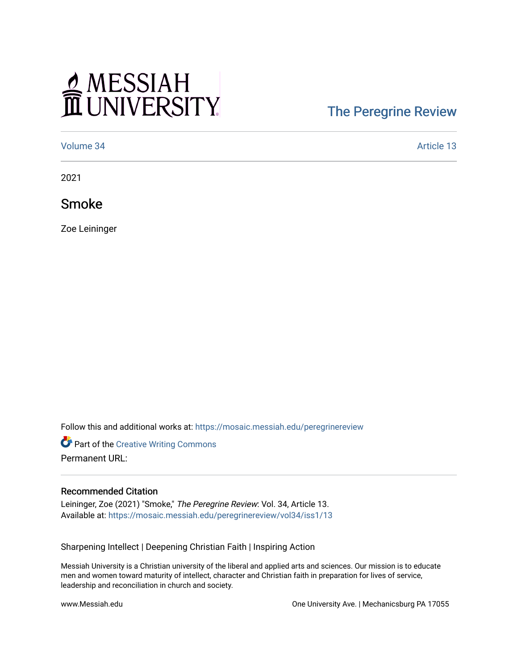## MESSIAH

## [The Peregrine Review](https://mosaic.messiah.edu/peregrinereview)

[Volume 34](https://mosaic.messiah.edu/peregrinereview/vol34) Article 13

2021

Smoke

Zoe Leininger

Follow this and additional works at: [https://mosaic.messiah.edu/peregrinereview](https://mosaic.messiah.edu/peregrinereview?utm_source=mosaic.messiah.edu%2Fperegrinereview%2Fvol34%2Fiss1%2F13&utm_medium=PDF&utm_campaign=PDFCoverPages) 

Part of the [Creative Writing Commons](http://network.bepress.com/hgg/discipline/574?utm_source=mosaic.messiah.edu%2Fperegrinereview%2Fvol34%2Fiss1%2F13&utm_medium=PDF&utm_campaign=PDFCoverPages)  Permanent URL:

## Recommended Citation

Leininger, Zoe (2021) "Smoke," The Peregrine Review: Vol. 34, Article 13. Available at: [https://mosaic.messiah.edu/peregrinereview/vol34/iss1/13](https://mosaic.messiah.edu/peregrinereview/vol34/iss1/13?utm_source=mosaic.messiah.edu%2Fperegrinereview%2Fvol34%2Fiss1%2F13&utm_medium=PDF&utm_campaign=PDFCoverPages)

Sharpening Intellect | Deepening Christian Faith | Inspiring Action

Messiah University is a Christian university of the liberal and applied arts and sciences. Our mission is to educate men and women toward maturity of intellect, character and Christian faith in preparation for lives of service, leadership and reconciliation in church and society.

www.Messiah.edu **One University Ave. | Mechanicsburg PA 17055**